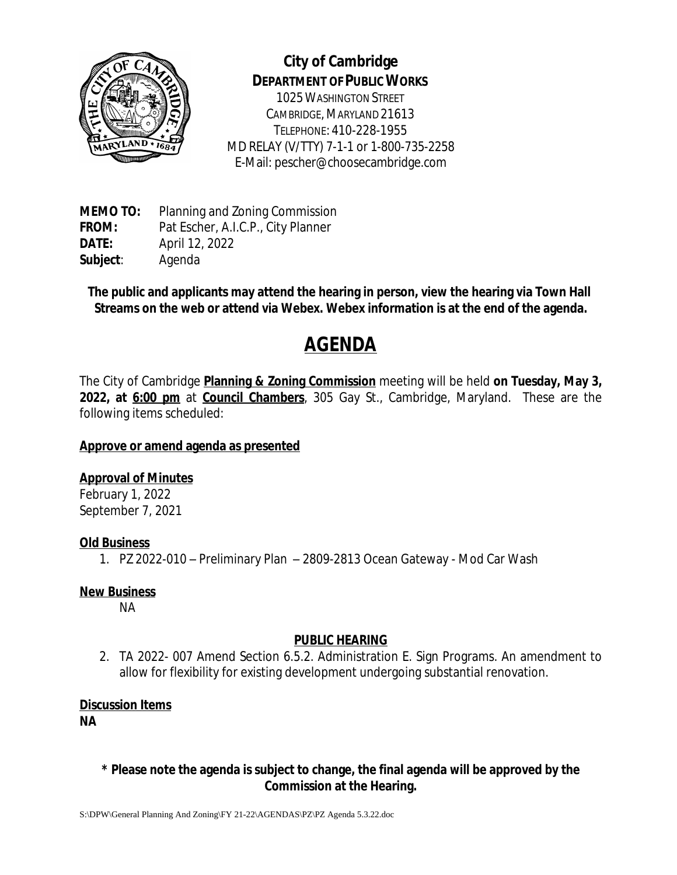

# **City of Cambridge DEPARTMENT OF PUBLIC WORKS**

1025WASHINGTON STREET CAMBRIDGE, MARYLAND 21613 TELEPHONE: 410-228-1955 MD RELAY (V/TTY) 7-1-1 or 1-800-735-2258 E-Mail: pescher@choosecambridge.com

**MEMO TO:** Planning and Zoning Commission **FROM:** Pat Escher, A.I.C.P., City Planner **DATE:** April 12, 2022 **Subject**: Agenda

**The public and applicants may attend the hearing in person, view the hearing via Town Hall Streams on the web or attend via Webex. Webex information is at the end of the agenda.**

# **AGENDA**

The City of Cambridge **Planning & Zoning Commission** meeting will be held **on Tuesday, May 3, 2022, at 6:00 pm** at **Council Chambers**, 305 Gay St., Cambridge, Maryland. These are the following items scheduled:

# **Approve or amend agenda as presented**

# **Approval of Minutes**

February 1, 2022 September 7, 2021

# **Old Business**

1. PZ 2022-010 – Preliminary Plan – 2809-2813 Ocean Gateway - Mod Car Wash

#### **New Business**

NA

# **PUBLIC HEARING**

2. TA 2022- 007 Amend Section 6.5.2. Administration E. Sign Programs. An amendment to allow for flexibility for existing development undergoing substantial renovation.

# **Discussion Items**

**NA**

#### **\* Please note the agenda is subject to change, the final agenda will be approved by the Commission at the Hearing.**